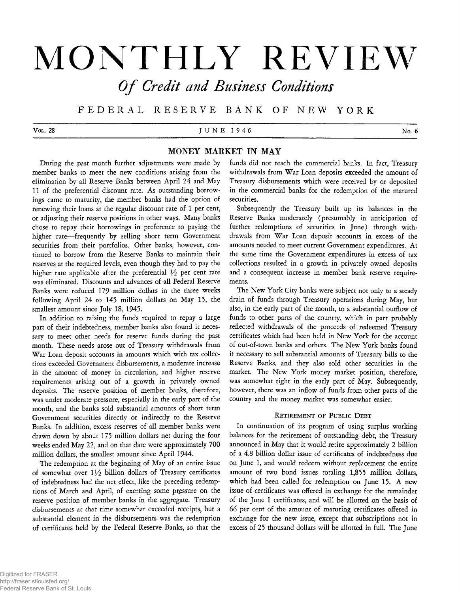# **MONTHLY REVIEW**

*O f Credit and Business Conditions*

**F E D E R A L RESERVE B A N K OF NEW Y ORK**

Vol. 28  $J \cup N E$  1 9 4 6  $N_0$ . 6

# **MONEY MARKET IN MAY**

During the past month further adjustments were made by member banks to meet the new conditions arising from the elimination by all Reserve Banks between April 24 and May 11 of the preferential discount rate. As outstanding borrowings came to maturity, the member banks had the option of renewing their loans at the regular discount rate of 1 per cent, or adjusting their reserve positions in other ways. Many banks chose to repay their borrowings in preference to paying the higher rate— frequently by selling short term Government securities from their portfolios. Other banks, however, continued to borrow from the Reserve Banks to maintain their reserves at the required levels, even though they had to pay the higher rate applicable after the preferential  $\frac{1}{2}$  per cent rate was eliminated. Discounts and advances of all Federal Reserve Banks were reduced 179 million dollars in the three weeks following April 24 to 145 million dollars on May 15, the smallest amount since July 18, 1945.

In addition to raising the funds required to repay a large part of their indebtedness, member banks also found it necessary to meet other needs for reserve funds during the past month. These needs arose out of Treasury withdrawals from War Loan deposit accounts in amounts which with tax collections exceeded Government disbursements, a moderate increase in the amount of money in circulation, and higher reserve requirements arising out of a growth in privately owned deposits. The reserve position of member banks, therefore, was under moderate pressure, especially in the early part of the month, and the banks sold substantial amounts of short term Government securities directly or indirectly to the Reserve Banks. In addition, excess reserves of all member banks were drawn down by about 175 million dollars net during the four weeks ended May 22, and on that date were approximately 700 million dollars, the smallest amount since April 1944.

The redemption at the beginning of May of an entire issue of somewhat over 11/2 billion dollars of Treasury certificates of indebtedness had the net effect, like the preceding redemptions of March and April, of exerting some pressure on the reserve position of member banks in the aggregate. Treasury disbursements at that time somewhat exceeded receipts, but a substantial element in the disbursements was the redemption of certificates held by the Federal Reserve Banks, so that the

funds did not reach the commercial banks. In fact, Treasury withdrawals from War Loan deposits exceeded the amount of Treasury disbursements which were received by or deposited in the commercial banks for the redemption of the matured securities.

Subsequently the Treasury built up its balances in the Reserve Banks moderately (presumably in anticipation of further redemptions of securities in June) through withdrawals from War Loan deposit accounts in excess of the amounts needed to meet current Government expenditures. At the same time the Government expenditures in excess of tax collections resulted in a growth in privately owned deposits and a consequent increase in member bank reserve requirements.

The New York City banks were subject not only to a steady drain of funds through Treasury operations during May, but also, in the early part of the month, to a substantial outflow of funds to other parts of the country, which in part probably reflected withdrawals of the proceeds of redeemed Treasury certificates which had been held in New York for the account of out-of-town banks and others. The New York banks found it necessary to sell substantial amounts of Treasury bills to the Reserve Banks, and they also sold other securities in the market. The New York money market position, therefore, was somewhat tight in the early part of May. Subsequently, however, there was an inflow of funds from other parts of the country and the money market was somewhat easier.

## RETIREMENT OF PUBLIC DEBT

In continuation of its program of using surplus working balances for the retirement of outstanding debt, the Treasury announced in May that it would retire approximately 2 billion of a 4.8 billion dollar issue of certificates of indebtedness due on June 1, and would redeem without replacement the entire amount of two bond issues totaling 1,855 million dollars, which had been called for redemption on June 15. A new issue of certificates was offered in exchange for the remainder of the June 1 certificates, and will be allotted on the basis of 66 per cent of the amount of maturing certificates offered in exchange for the new issue, except that subscriptions not in excess of 25 thousand dollars will be allotted in full. The June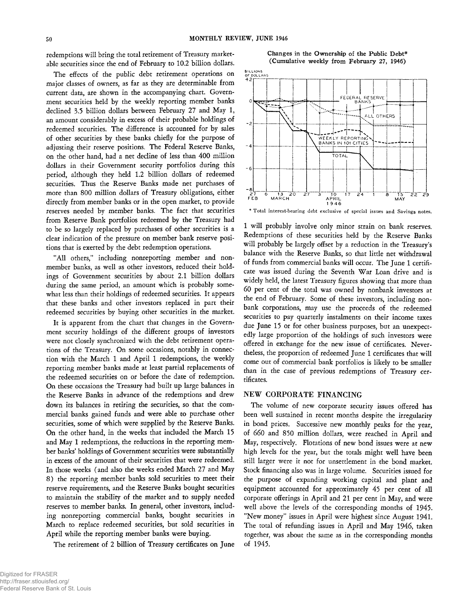redemptions will bring the total retirement of Treasury marketable securities since the end of February to 10.2 billion dollars.

The effects of the public debt retirement operations on major classes of owners, as far as they are determinable from current data, are shown in the accompanying chart. Government securities held by the weekly reporting member banks declined 3.5 billion dollars between February 27 and May 1, an amount considerably in excess of their probable holdings of redeemed securities. The difference is accounted for by sales of other securities by these banks chiefly for the purpose of adjusting their reserve positions. The Federal Reserve Banks, on the other hand, had a net decline of less than 400 million dollars in their Government security portfolios during this period, although they held 1.2 billion dollars of redeemed securities. Thus the Reserve Banks made net purchases of more than 800 million dollars of Treasury obligations, either directly from member banks or in the open market, to provide reserves needed by member banks. The fact that securities from Reserve Bank portfolios redeemed by the Treasury had to be so largely replaced by purchases of other securities is a clear indication of the pressure on member bank reserve positions that is exerted by the debt redemption operations.

"All others," including nonreporting member and nonmember banks, as well as other investors, reduced their holdings of Government securities by about 2.1 billion dollars during the same period, an amount which is probably somewhat less than their holdings of redeemed securities. It appears that these banks and other investors replaced in part their redeemed securities by buying other securities in the market.

It is apparent from the chart that changes in the Government security holdings of the different groups of investors were not closely synchronized with the debt retirement operations of the Treasury. On some occasions, notably in connection with the March 1 and April 1 redemptions, the weekly reporting member banks made at least partial replacements of the redeemed securities on or before the date of redemption. On these occasions the Treasury had built up large balances in the Reserve Banks in advance of the redemptions and drew down its balances in retiring the securities, so that the commercial banks gained funds and were able to purchase other securities, some of which were supplied by the Reserve Banks. On the other hand, in the weeks that included the March 15 and May 1 redemptions, the reductions in the reporting member banks' holdings of Government securities were substantially in excess of the amount of their securities that were redeemed. In those weeks (and also the weeks ended March 27 and May 8) the reporting member banks sold securities to meet their reserve requirements, and the Reserve Banks bought securities to maintain the stability of the market and to supply needed reserves to member banks. In general, other investors, including nonreporting commercial banks, bought securities in March to replace redeemed securities, but sold securities in April while the reporting member banks were buying.

The retirement of 2 billion of Treasury certificates on June

Changes in the Ownership of the Public Debt\* **(Cumulative weekly from February 27, 1946)**



\* Total interest-bearing debt exclusive of special issues and Savings notes.

1 will probably involve only minor strain on bank reserves. Redemptions of these securities held by the Reserve Banks will probably be largely offset by a reduction in the Treasury's balance with the Reserve Banks, so that little net withdrawal of funds from commercial banks will occur. The June 1 certificate was issued during the Seventh War Loan drive and is widely held, the latest Treasury figures showing that more than 60 per cent of the total was owned by nonbank investors at the end of February. Some of these investors, including nonbank corporations, may use the proceeds of the redeemed securities to pay quarterly instalments on their income taxes due June 15 or for other business purposes, but an unexpectedly large proportion of the holdings of such investors were offered in exchange for the new issue of certificates. Nevertheless, the proportion of redeemed June 1 certificates that will come out of commercial bank portfolios is likely to be smaller than in the case of previous redemptions of Treasury certificates.

# NEW CORPORATE FINANCING

The volume of new corporate security issues offered has been well sustained in recent months despite the irregularity in bond prices. Successive new monthly peaks for the year, of 660 and 850 million dollars, were reached in April and May, respectively. Flotations of new bond issues were at new high levels for the year, but the totals might well have been still larger were it not for unsettlement in the bond market. Stock financing also was in large volume. Securities issued for the purpose of expanding working capital and plant and equipment accounted for approximately 45 per cent of all corporate offerings in April and 21 per cent in May, and were well above the levels of the corresponding months of 1945. "New money" issues in April were highest since August 1941. The total of refunding issues in April and May 1946, taken together, was about the same as in the corresponding months of 1945.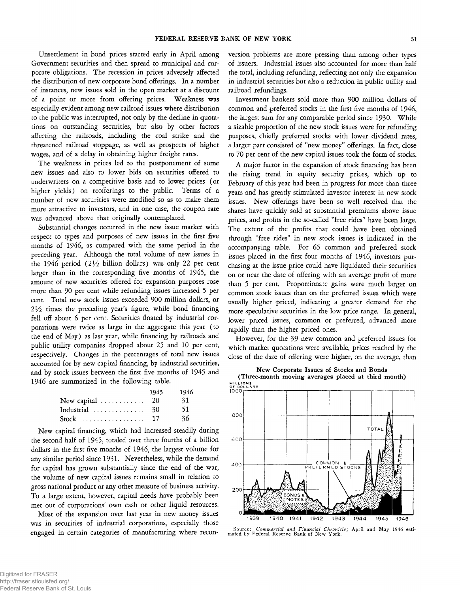Unsettlement in bond prices started early in April among Government securities and then spread to municipal and corporate obligations. The recession in prices adversely affected the distribution of new corporate bond offerings. In a number of instances, new issues sold in the open market at a discount of a point or more from offering prices. Weakness was especially evident among new railroad issues where distribution to the public was interrupted, not only by the decline in quotations on outstanding securities, but also by other factors affecting the railroads, including the coal strike and the threatened railroad stoppage, as well as prospects of higher wages, and of a delay in obtaining higher freight rates.

The weakness in prices led to the postponement of some new issues and also to lower bids on securities offered to underwriters on a competitive basis and to lower prices (or higher yields) on reofferings to the public. Terms of a number of new securities were modified so as to make them more attractive to investors, and in one case, the coupon rate was advanced above that originally contemplated.

Substantial changes occurred in the new issue market with respect to types and purposes of new issues in the first five months of 1946, as compared with the same period in the preceding year. Although the total volume of new issues in the 1946 period (21/<sub>2</sub> billion dollars) was only 22 per cent larger than in the corresponding five months of 1945, the amount of new securities offered for expansion purposes rose more than 90 per cent while refunding issues increased 5 per cent. Total new stock issues exceeded 900 million dollars, or  $2\frac{1}{2}$  times the preceding year's figure, while bond financing fell off about 6 per cent. Securities floated by industrial corporations were twice as large in the aggregate this year (to the end of May) as last year, while financing by railroads and public utility companies dropped about 25 and 10 per cent, respectively. Changes in the percentages of total new issues accounted for by new capital financing, by industrial securities, and by stock issues between the first five months of 1945 and 1946 are summarized in the following table.

|                                               | 1945 | 1946 |
|-----------------------------------------------|------|------|
| New capital $\ldots \ldots \ldots 20$         |      | 31   |
| Industrial $\ldots \ldots \ldots \ldots$ 30   |      | 51   |
| Stock $\ldots \ldots \ldots \ldots \ldots 17$ |      | 36.  |

New capital financing, which had increased steadily during the second half of 1945, totaled over three fourths of a billion dollars in the first five months of 1946, the largest volume for any similar period since 1931. Nevertheless, while the demand for capital has grown substantially since the end of the war, the volume of new capital issues remains small in relation to gross national product or any other measure of business activity. To a large extent, however, capital needs have probably been met out of corporations' own cash or other liquid resources.

Most of the expansion over last year in new money issues was in securities of industrial corporations, especially those engaged in certain categories of manufacturing where reconversion problems are more pressing than among other types of issuers. Industrial issues also accounted for more than half the total, including refunding, reflecting not only the expansion in industrial securities but also a reduction in public utility and railroad refundings.

Investment bankers sold more than 900 million dollars of common and preferred stocks in the first five months of 1946, the largest sum for any comparable period since 1930. While a sizable proportion of the new stock issues were for refunding purposes, chiefly preferred stocks with lower dividend rates, a larger part consisted of "new money" offerings. In fact, close to 70 per cent of the new capital issues took the form of stocks.

A major factor in the expansion of stock financing has been the rising trend in equity security prices, which up to February of this year had been in progress for more than three years and has greatly stimulated investor interest in new stock issues. New offerings have been so well received that the shares have quickly sold at substantial premiums above issue prices, and profits in the so-called "free rides" have been large. The extent of the profits that could have been obtained through "free rides" in new stock issues is indicated in the accompanying table. For 65 common and preferred stock issues placed in the first four months of 1946, investors purchasing at the issue price could have liquidated their securities on or near the date of offering with an average profit of more than 5 per cent. Proportionate gains were much larger on common stock issues than on the preferred issues which were usually higher priced, indicating a greater demand for the more speculative securities in the low price range. In general, lower priced issues, common or preferred, advanced more rapidly than the higher priced ones.

However, for the 39 new common and preferred issues for which market quotations were available, prices reached by the close of the date of offering were higher, on the average, than





Source: *Commercial and Financial Chronicle;* April and May 1946 esti-mated by Federal Reserve Bank of New York.

1943

1944

1945

1946

1942

1941

1940

1939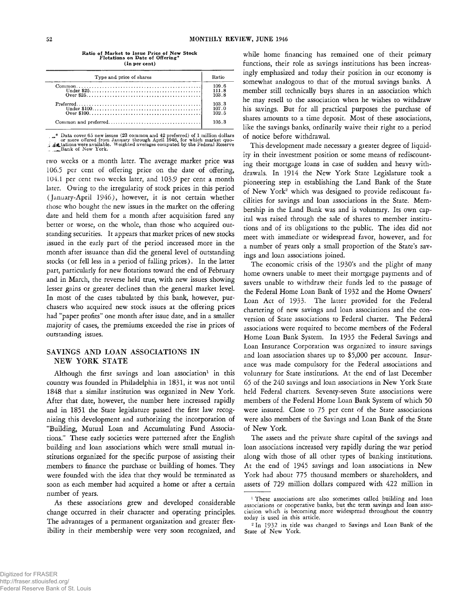| I |  |
|---|--|
|   |  |

| Type and price of shares                                                                                     |                                                    |
|--------------------------------------------------------------------------------------------------------------|----------------------------------------------------|
| $\text{Preferred} \dots \dots \dots \dots \dots \dots \dots \dots \dots \dots \dots \dots \dots \dots \dots$ | 109.6<br>111.8<br>103.8<br>103.3<br>107.0<br>102.5 |
|                                                                                                              | 105.3                                              |

**Ratio of Market to Issue Price of New Stock Flotations on Date of Offering\*** (In per cent)

Example 1 over 65 new issues (23 common and 42 preferred) of 1 million dollars<br>
for more offered from January through April 1946, for which market quo-<br>  $\frac{1}{2}$  at tations were available. Weighted averages computed by t

two weeks or a month later. The average market price was 106.5 per cent of offering price on the date of offering, 104.1 per cent two weeks later, and 103.9 per cent a month later. Owing to the irregularity of stock prices in this period (January-April 1946), however, it is not certain whether those who bought the new issues in the market on the offering date and held them for a month after acquisition fared any better or worse, on the whole, than those who acquired outstanding securities. It appears that market prices of new stocks issued in the early part of the period increased more in the month after issuance than did the general level of outstanding stocks (or fell less in a period of falling prices). In the latter part, particularly for new flotations toward the end of February and in March, the reverse held true, with new issues showing lesser gains or greater declines than the general market level. In most of the cases tabulated by this bank, however, purchasers who acquired new stock issues at the offering prices had "paper profits" one month after issue date, and in a smaller majority of cases, the premiums exceeded the rise in prices of outstanding issues.

## SAVINGS AND LOAN ASSOCIATIONS IN NEW YORK STATE

Although the first savings and loan association<sup>1</sup> in this country was founded in Philadelphia in 1831, it was not until 1848 that a similar institution was organized in New York. After that date, however, the number here increased rapidly and in 1851 the State legislature passed the first law recognizing this development and authorizing the incorporation of "Building, Mutual Loan and Accumulating Fund Associations." These early societies were patterned after the English building and loan associations which were small mutual institutions organized for the specific purpose of assisting their members to finance the purchase or building of homes. They were founded with the idea that they would be terminated as soon as each member had acquired a home or after a certain number of years.

As these associations grew and developed considerable change occurred in their character and operating principles. The advantages of a permanent organization and greater flexibility in their membership were very soon recognized, and while home financing has remained one of their primary functions, their role as savings institutions has been increasingly emphasized and today their position in our economy is somewhat analogous to that of the mutual savings banks. A member still technically buys shares in an association which he may resell to the association when he wishes to withdraw his savings. But for all practical purposes the purchase of shares amounts to a time deposit. Most of these associations, like the savings banks, ordinarily waive their right to a period of notice before withdrawal.

This development made necessary a greater degree of liquidity in their investment position or some means of rediscounting their mortgage loans in case of sudden and heavy withdrawals. In 1914 the New York State Legislature took a pioneering step in establishing the Land Bank of the State of New York2 which was designed to provide rediscount facilities for savings and loan associations in the State. Membership in the Land Bank was and is voluntary. Its own capital was raised through the sale of shares to member institutions and of its obligations to the public. The idea did not meet with immediate or widespread favor, however, and for a number of years only a small proportion of the State's savings and loan associations joined.

The economic crisis of the 1930's and the plight of many home owners unable to meet their mortgage payments and of savers unable to withdraw their funds led to the passage of the Federal Home Loan Bank of 1932 and the Home Owners' Loan Act of 1933. The latter provided for the Federal chartering of new savings and loan associations and the conversion of State associations to Federal charter. The Federal associations were required to become members of the Federal Home Loan Bank System. In 1935 the Federal Savings and Loan Insurance Corporation was organized to insure savings and loan association shares up to \$5,000 per account. Insurance was made compulsory for the Federal associations and voluntary for State institutions. At the end of last December 65 of the 240 savings and loan associations in New York State held Federal charters. Seventy-seven State associations were members of the Federal Home Loan Bank System of which 50 were insured. Close to 75 per cent of the State associations were also members of the Savings and Loan Bank of the State of New York.

The assets and the private share capital of the savings and loan associations increased very rapidly during the war period along with those of all other types of banking institutions. At the end of 1945 savings and loan associations in New York had about 775 thousand members or shareholders, and assets of 729 million dollars compared with 422 million in

<sup>&</sup>lt;sup>1</sup> These associations are also sometimes called building and loan associations or cooperative banks, but the term savings and loan association which is becoming more widespread throughout the country today is used in this article.

<sup>2</sup> In 1932 its title was changed to Savings and Loan Bank of the State of New York.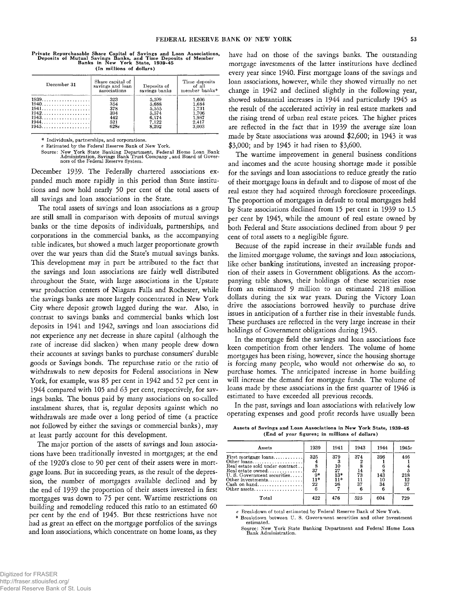Private Repurchasable Share Capital of Savings and Loan Associations,<br>Deposits of Mutual Savings Banks, and Time Deposits of Member<br>Banks in New York State, 1939-45 (In millions of dollars)

| December 31                                | Share capital of<br>savings and loan<br>associations | Deposits of<br>savings banks                                | Time deposits<br>of all<br>member banks*                    |
|--------------------------------------------|------------------------------------------------------|-------------------------------------------------------------|-------------------------------------------------------------|
| $1939$<br>$1940$<br>1941.<br>1943.<br>1945 | 323<br>354<br>378<br>394<br>442<br>521<br>628e       | 5,599<br>5.688<br>5.555<br>5,574<br>6,174<br>7.122<br>8.292 | 1,606<br>1.684<br>1.731<br>1.706<br>1,987<br>2,417<br>3.003 |

\* Individuals, partnerships, and corporations.

*e* Estimated by the Federal Reserve Bank of New York.

Source: New York State Banking Department, Federal Home Loan Bank Administration, Savings Bank Trust Company , and Board of Gover-nors of the Federal Reserve System.

December 1939. The Federally chartered associations expanded much more rapidly in this period than State institutions and now hold nearly 50 per cent of the total assets of all savings and loan associations in the State.

The total assets of savings and loan associations as a group are still small in comparison with deposits of mutual savings banks or the time deposits of individuals, partnerships, and corporations in the commercial banks, as the accompanying table indicates, but showed a much larger proportionate growth over the war years than did the State's mutual savings banks. This development may in part be attributed to the fact that the savings and loan associations are fairly well distributed throughout the State, with large associations in the Upstate war production centers of Niagara Falls and Rochester, while the savings banks are more largely concentrated in New York City where deposit growth lagged during the war. Also, in contrast to savings banks and commercial banks which lost deposits in 1941 and 1942, savings and loan associations did not experience any net decrease in share capital ( although the rate of increase did slacken) when many people drew down their accounts at savings banks to purchase consumers' durable goods or Savings bonds. The repurchase ratio or the ratio of withdrawals to new deposits for Federal associations in New York, for example, was 85 per cent in 1942 and 52 per cent in 1944 compared with 105 and 63 per cent, respectively, for savings banks. The bonus paid by many associations on so-called instalment shares, that is, regular deposits against which no withdrawals are made over a long period of time (a practice not followed by either the savings or commercial banks), may at least partly account for this development.

The major portion of the assets of savings and loan associations have been traditionally invested in mortgages; at the end of the 1920's close to 90 per cent of their assets were in mortgage loans. But in succeeding years, as the result of the depression, the number of mortgages available declined and by the end of 1939 the proportion of their assets invested in first mortgages was down to 75 per cent. Wartime restrictions on building and remodeling reduced this ratio to an estimated 60 per cent by the end of 1945. But these restrictions have not had as great an *effect on* the mortgage portfolios of the savings and loan associations, which concentrate on home loans, as they have had on those of the savings banks. The outstanding mortgage investments of the latter institutions have declined every year since 1940. First mortgage loans of the savings and loan associations, however, while they showed virtually no net change in 1942 and declined slightly in the following year, showed substantial increases in 1944 and particularly 1945 as the result of the accelerated activity in real estate markets and the rising trend of urban real estate prices. The higher prices are reflected in the fact that in 1939 the average size loan made by State associations was around \$2,600; in 1943 it was \$3,000; and by 1945 it had risen to \$3,600.

The wartime improvement in general business conditions and incomes and the acute housing shortage made it possible for the savings and loan associations to reduce greatly the ratio of their mortgage loans in default and to dispose of most of the real estate they had acquired through foreclosure proceedings. The proportion of mortgages in default to total mortgages held by State associations declined from 15 per cent in 1939 to 1.5 per cent by 1945, while the amount of real estate owned by both Federal and State associations declined from about 9 per cent of total assets to a negligible figure.

Because of the rapid increase in their available funds and the limited mortgage volume, the savings and loan associations, like other banking institutions, invested an increasing proportion of their assets in Government obligations. As the accompanying table shows, their holdings of these securities rose from an estimated 9 million to an estimated 218 million dollars during the six war years. During the Victory Loan drive the associations borrowed heavily to purchase drive issues in anticipation of a further rise in their investable funds. These purchases are reflected in the very large increase in their holdings of Government obligations during 1945.

In the mortgage field the savings and loan associations face keen competition from other lenders. The volume of home mortgages has been rising, however, since the housing shortage is forcing many people, who would not otherwise do so, to purchase homes. The anticipated increase in home building will increase the demand for mortgage funds. The volume of loans made by these associations in the first quarter of 1946 is estimated to have exceeded all previous records.

In the past, savings and loan associations with relatively low operating expenses and good profit records have usually been

Assets of Savings and Loan Associations in New York State, 1939-45 (End of year figures; in millions of dollars)

| Assets                                                                                                                          | 1939                                          | 1941                                                | 1943                  | 1944                   | 1945e                         |
|---------------------------------------------------------------------------------------------------------------------------------|-----------------------------------------------|-----------------------------------------------------|-----------------------|------------------------|-------------------------------|
| First mortgage loans<br>Real estate sold under contract<br>Real estate owned<br>U.S. Government securities<br>Other investments | 325<br>$\bar{s}$<br>37<br>g*<br>$\frac{1}{2}$ | 379<br>$\frac{10}{27}$<br>$13*$<br>$\frac{11*}{26}$ | 374<br>14<br>73<br>37 | 396<br>143<br>10<br>34 | 446<br>218<br>$\frac{12}{37}$ |
| Total                                                                                                                           | 422                                           | 476                                                 | 525                   | 604                    | 729                           |

Breakdown of total estimated by Federal Reserve Bank of New York.

\* Breakdown between U. S. Government securities and other investment estimated.

Source: New York State Banking Department and Federal Home Loan Bank Administration.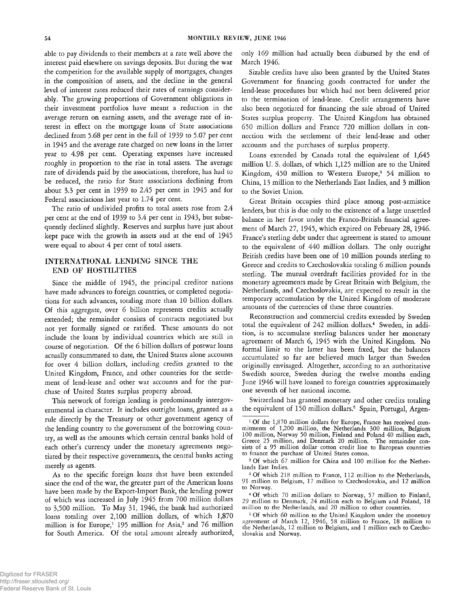able to pay dividends to their members at a rate well above the interest paid elsewhere on savings deposits. But during the war the competition for the available supply of mortgages, changes in the composition of assets, and the decline in the general level of interest rates reduced their rates of earnings considerably. The growing proportions of Government obligations in their investment portfolios have meant a reduction in the average return on earning assets, and the average rate of interest in effect on the mortgage loans of State associations declined from 5.68 per cent in the fall of 1939 to 5.07 per cent in 1945 and the average rate charged on new loans in the latter year to 4.98 per cent. Operating expenses have increased roughly in proportion to the rise in total assets. The average rate of dividends paid by the associations, therefore, has had to be reduced, the ratio for State associations declining from about 3.3 per cent in 1939 to 2.45 per cent in 1945 and for Federal associations last year to 1.74 per cent.

The ratio of undivided profits to total assets rose from 2.4 per cent at the end of 1939 to 3.4 per cent in 1943, but subsequently declined slightly. Reserves and surplus have just about kept pace with the growth in assets and at the end of 1945 were equal to about 4 per cent of total assets.

# INTERNATIONAL LENDING SINCE THE END OF HOSTILITIES

Since the middle of 1945, the principal creditor nations have made advances to foreign countries, or completed negotiations for such advances, totaling more than 10 billion dollars. Of this aggregate, over 6 billion represents credits actually extended; the remainder consists of contracts negotiated but not yet formally signed or ratified. These amounts do not include the loans by individual countries which are still in course of negotiation. Of the 6 billion dollars of postwar loans actually consummated to date, the United States alone accounts for over 4 billion dollars, including credits granted to the United Kingdom, France, and other countries for the settlement of lend-lease and other war accounts and for the purchase of United States surplus property abroad.

This network of foreign lending is predominantly intergovernmental in character. It includes outright loans, granted as a rule directly by the Treasury or other government agency of the lending country to the government of the borrowing country, as well as the amounts which certain central banks hold of each other's currency under the monetary agreements negotiated by their respective governments, the central banks acting merely as agents.

As to the specific foreign loans that have been extended since the end of the war, the greater part of the American loans have been made by the Export-Import Bank, the lending power of which was increased in July 1945 from 700 million dollars to 3,500 million. To May 31, 1946, the bank had authorized loans totaling over 2,100 million dollars, of which 1,870 million is for Europe,<sup>1</sup> 195 million for Asia,<sup>2</sup> and 76 million for South America. Of the total amount already authorized, only 169 million had actually been disbursed by the end of March 1946.

Sizable credits have also been granted by the United States Government for financing goods contracted for under the lend-lease procedures but which had not been delivered prior to the termination of lend-lease. Credit arrangements have also been negotiated for financing the sale abroad of United States surplus property. The United Kingdom has obtained 650 million dollars and France 720 million dollars in connection with the settlement of their lend-lease and other accounts and the purchases of surplus property.

Loans extended by Canada total the equivalent of 1,645 million U. S. dollars, of which 1,125 million are to the United Kingdom, 450 million to Western Europe,<sup>3</sup> 54 million to China, 13 million to the Netherlands East Indies, and 3 million to the Soviet Union.

Great Britain occupies third place among post-armistice lenders, but this is due only to the existence of a large unsettled balance in her favor under the Franco-British financial agreement of March 27, 1945, which expired on February 28, 1946. France's sterling debt under that agreement is stated to amount to the equivalent of 440 million dollars. The only outright British credits have been one of 10 million pounds sterling to Greece and credits to Czechoslovakia totaling 6 million pounds sterling. The mutual overdraft facilities provided for in the monetary agreements made by Great Britain with Belgium, the Netherlands, and Czechoslovakia, are expected to result in the temporary accumulation by the United Kingdom of moderate amounts of the currencies of these three countries.

Reconstruction and commercial credits extended by Sweden total the equivalent of 242 million dollars.<sup>4</sup> Sweden, in addition, is to accumulate sterling balances under her monetary agreement of March 6, 1945 with the United Kingdom. No formal limit to the latter has been fixed, but the balances accumulated so far are believed much larger than Sweden originally envisaged. Altogether, according to an authoritative Swedish source, Sweden during the twelve months ending June 1946 will have loaned to foreign countries approximately one seventh of her national income.

Switzerland has granted monetary and other credits totaling the equivalent of 150 million dollars.<sup>5</sup> Spain, Portugal, Argen-

2 Of which 67 million for China and 100 million for the Netherlands East Indies.

<sup>&</sup>lt;sup>1</sup> Of the 1,870 million dollars for Europe, France has received commitments of 1,200 million, the Netherlands 300 million, Belgium 100 million, Norway 50 million, Finland and Poland 40 million each, Greece 25 million, and Denmark 20 million. The remainder consists of a 95 million dollar cotton credit line to European countries to finance the purchase of United States cotton.

<sup>&</sup>lt;sup>3</sup> Of which 218 million to France, 112 million to the Netherlands, 91 million to Belgium, 17 million to Czechoslovakia, and 12 million to Norway.

<sup>4</sup> Of which 70 million dollars to Norway, 57 million to Finland, 29 million to Denmark, 24 million each to Belgium and Poland, 18 million to the Netherlands, and 20 million to other countries.

<sup>&</sup>lt;sup>5</sup> Of which 60 million to the United Kingdom under the monetary agreement of March 12, 1946, 58 million to France, 18 million to the Netherlands, 12 million to Belgium, and 1 million each to Czechoslovakia and Norway.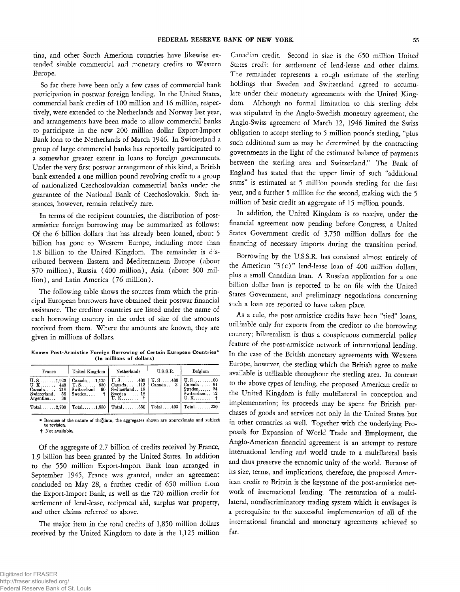tina, and other South American countries have likewise extended sizable commercial and monetary credits to Western Europe.

So far there have been only a few cases of commercial bank participation in postwar foreign lending. In the United States, commercial bank credits of 100 million and 16 million, respectively, were extended to the Netherlands and Norway last year, and arrangements have been made to allow commercial banks to participate in the new 200 million dollar Export-Import Bank loan to the Netherlands of March 1946. In Switzerland a group of large commercial banks has reportedly participated to a somewhat greater extent in loans to foreign governments. Under the very first postwar arrangement of this kind, a British bank extended a one million pound revolving credit to a group of nationalized Czechoslovakian commercial banks under the guarantee of the National Bank of Czechoslovakia. Such instances, however, remain relatively rare.

In terms of the recipient countries, the distribution of postarmistice foreign borrowing may be summarized as follows: Of the 6 billion dollars that has already been loaned, about 5 billion has gone to Western Europe, including more than 1.8 billion to the United Kingdom. The remainder is distributed between Eastern and Mediterranean Europe (about 370 million), Russia (400 million), Asia (about 300 million), and Latin America (76 million).

The following table shows the sources from which the principal European borrowers have obtained their postwar financial assistance. The creditor countries are listed under the name of each borrowing country in the order of size of the amounts received from them. Where the amounts are known, they are given in millions of dollars.

Known Post-Armistice Foreign Borrowing of Certain European Countries\* (In millions of dollars)

| France                                      | United Kingdom                              | Netherlands                                                                                                                                                    | U.S.S.R. | Belgium                                                |
|---------------------------------------------|---------------------------------------------|----------------------------------------------------------------------------------------------------------------------------------------------------------------|----------|--------------------------------------------------------|
| Switzerland. 58   Sweden<br>Argentina<br>36 | Canada 218   Switzerland 60   Switzerland18 | U.S1,920   Canada1,125   U.S400   U.S400   U.S100<br>U.K 440   U.S 650   Canada112   Canada 3<br>$\vert$ Sweden 18<br>$\mathbf{U}, \mathbf{K}, \ldots, \ldots$ |          | $Canada \dots 91$<br>$S$ weden $24$<br>Switzerland. 12 |
| $Total \dots 2.700$                         |                                             | Total1,850   Total550   Total403                                                                                                                               |          | $Total \dots 230$                                      |

\* Because of the nature of the^data, the aggregates shown are approximate and subject to revision, t Not available.

Of the aggregate of 2.7 billion of credits received by France, 1.9 billion has been granted by the United States. In addition to the 550 million Export-Import Bank loan arranged in September 1945, France was granted, under an agreement concluded on May 28, a further credit of 650 million fiom the Export-Import Bank, as well as the 720 million credit for settlement of lend-lease, reciprocal aid, surplus war property, and other claims referred to above.

The major item in the total credits of 1,850 million dollars received by the United Kingdom to date is the 1,125 million

Canadian credit. Second in size is the 650 million United States credit for settlement of lend-lease and other claims. The remainder represents a rough estimate of the sterling holdings that Sweden and Switzerland agreed to accumulate under their monetary agreements with the United Kingdom. Although no formal limitation to this sterling debt was stipulated in the Anglo-Swedish monetary agreement, the Anglo-Swiss agreement of March 12, 1946 limited the Swiss obligation to accept sterling to 5 million pounds sterling, "plus such additional sum as may be determined by the contracting governments in the light of the estimated balance of payments between the sterling area and Switzerland." The Bank of England has stated that the upper limit of such "additional sums" is estimated at 5 million pounds sterling for the first year, and a further 5 million for the second, making with the 5 million of basic credit an aggregate of 15 million pounds.

In addition, the United Kingdom is to receive, under the financial agreement now pending before Congress, a United States Government credit of 3,750 million dollars for the financing of necessary imports during the transition period.

Borrowing by the U.S.S.R. has consisted almost entirely of the American " $3(c)$ " lend-lease loan of 400 million dollars, plus a small Canadian loan. A Russian application for a one billion dollar loan is reported to be on file with the United States Government, and preliminary negotiations concerning such a loan are reported to have taken place.

As a rule, the post-armistice credits have been "tied" loans, utilizable only for exports from the creditor to the borrowing country; bilateralism is thus a conspicuous commercial policy feature of the post-armistice network of international lending. In the case of the British monetary agreements with Western Europe, however, the sterling which the British agree to make available is utilizable throughout the sterling area. In contrast to the above types of lending, the proposed American credit to the United Kingdom is fully multilateral in conception and implementation; its proceeds may be spent for British purchases of goods and services not only in the United States but in other countries as well. Together with the underlying Proposals for Expansion of World Trade and Employment, the Anglo-American financial agreement is an attempt to restore international lending and world trade to a multilateral basis and thus preserve the economic unity of the world. Because of its size, terms, and implications, therefore, the proposed American credit to Britain is the keystone of the post-armistice network of international lending. The restoration of a multilateral, nondiscriminatory trading system which it envisages is a prerequisite to the successful implementation of all of the international financial and monetary agreements achieved so far.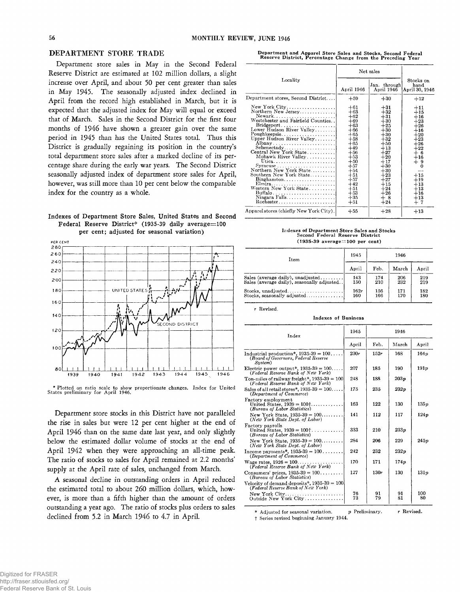## DEPARTMENT STORE TRADE

Department store sales in May in the Second Federal Reserve District are estimated at 102 million dollars, a slight increase over April, and about 50 per cent greater than sales in May 1945. The seasonally adjusted index declined in April from the record high established in March, but it is expected that the adjusted index for May will equal or exceed that of March. Sales in the Second District for the first four months of 1946 have shown a greater gain over the same period in 1945 than has the United States total. Thus this District is gradually regaining its position in the country's total department store sales after a marked decline of its percentage share during the early war years. The Second District seasonally adjusted index of department store sales for April, however, was still more than 10 per cent below the comparable index for the country as a whole.

## **Indexes of Department Store Sales, United States and Second** Federal Reserve District\* (1935-39 daily average=100 **per cent; adjusted for seasonal variation)**



\* Plotted on ratio scale to show proportionate changes. Index for United States preliminary for April 1946.

Department store stocks in this District have not paralleled the rise in sales but were 12 per cent higher at the end of April 1946 than on the same date last year, and only slightly below the estimated dollar volume of stocks at the end of April 1942 when they were approaching an all-time peak. The ratio of stocks to sales for April remained at 2.2 months' supply at the April rate of sales, unchanged from March.

A seasonal decline *in* outstanding orders in April reduced the estimated total to about 260 million dollars, which, however, is more than a fifth higher than the amount of orders outstanding a year ago. The ratio of stocks plus orders to sales declined from 5.2 in March 1946 to 4.7 in April.

Department and Apparel Store Sales and Stocks, Second Federal<br>Reserve District, Percentage Change from the Preceding Year

|                                                                                                                                                                                                                                                                                                                                                                                                              | Net sales                                                                                                                                                                                          |                                                                                                                                                                                                   |                                                                                                                                                                                           |
|--------------------------------------------------------------------------------------------------------------------------------------------------------------------------------------------------------------------------------------------------------------------------------------------------------------------------------------------------------------------------------------------------------------|----------------------------------------------------------------------------------------------------------------------------------------------------------------------------------------------------|---------------------------------------------------------------------------------------------------------------------------------------------------------------------------------------------------|-------------------------------------------------------------------------------------------------------------------------------------------------------------------------------------------|
| Locality                                                                                                                                                                                                                                                                                                                                                                                                     | April 1946                                                                                                                                                                                         | Jan. through<br>April 1946                                                                                                                                                                        | Stocks on<br>hand<br>April 30, 1946                                                                                                                                                       |
| Department stores, Second District                                                                                                                                                                                                                                                                                                                                                                           | $+59$                                                                                                                                                                                              | $+30$                                                                                                                                                                                             | $+12$                                                                                                                                                                                     |
| New York City<br>Northern New Jersey<br>$\text{Bridgeport} \dots \dots \dots \dots \dots \dots \dots$<br>Lower Hudson River Valley<br>Albany<br>Schenectady<br>Central New York State<br>Mohawk River Valley<br>Utica<br>Northern New York State<br>Southern New York State<br>$Binghamton \ldots \ldots \ldots \ldots \ldots \ldots$<br>Elmira<br>Western New York State<br>Niagara Falls<br>$Rochester. ,$ | $+61$<br>$+63$<br>$+62$<br>$+69$<br>$+63$<br>$+66$<br>$+65$<br>$+58$<br>$+65$<br>$+49$<br>$+56$<br>$+53$<br>$+50$<br>$+57$<br>$+54$<br>$+51$<br>$+57$<br>$+42$<br>$+51$<br>$+53$<br>$+35$<br>$+51$ | $+31$<br>$+32$<br>$+31$<br>$+30$<br>$+25$<br>$+30$<br>$+30$<br>$+32$<br>$+50$<br>$+13$<br>$+27$<br>$+20$<br>$+17$<br>$+30$<br>$+30$<br>$+23$<br>$+27$<br>$+15$<br>$+24$<br>$+26$<br>$+8$<br>$+24$ | $+11$<br>$+15$<br>$+16$<br>$+23$<br>$+26$<br>$+16$<br>$+20$<br>$+23$<br>$+26$<br>$+22$<br>$+6$<br>$+16$<br>$+9$<br>$\Omega$<br>$+15$<br>$+19$<br>$+13$<br>$+13$<br>$+16$<br>$+13$<br>$+7$ |
| Apparel stores (chiefly New York City).                                                                                                                                                                                                                                                                                                                                                                      | $+55$                                                                                                                                                                                              | $+28$                                                                                                                                                                                             | $+13$                                                                                                                                                                                     |

Indexes of Department Store Sales and Stocks<br>Second Federal Reserve District  $(1935-39 \text{ average} = 100 \text{ per cent})$ 

| Item                                       | 1945  | 1946 |       |       |
|--------------------------------------------|-------|------|-------|-------|
|                                            | April | Feb. | March | April |
| Sales (average daily), unadjusted          | 143   | 174  | 206   | 219   |
| Sales (average daily), seasonally adjusted | 150   | 210  | 232   | 219   |
| $Stocks.$ unadiusted                       | 162r  | 156  | 171   | 182   |
| Stocks, seasonally adjusted                | 160   | 166  | 170   | 180   |

*r* Revised.

Indexes of Business

| Index                                                                                          | 1945     | 1946     |          |           |
|------------------------------------------------------------------------------------------------|----------|----------|----------|-----------|
|                                                                                                | April    | Feb.     | March    | April     |
| Industrial production*, $1935-39 = 100$<br>(Board of Governors, Federal Reserve<br>Sustem)     | 230r     | 152r     | 168      | 164p      |
| Electric power output*, $1935-39 = 100$<br>(Federal Reserve Bank of New York)                  | 207      | 185      | 190      | 191p      |
| Ton-miles of railway freight*, $1935-39 = 100$<br>(Federal Reserve Bank of New York)           | 248      | 188      | 203n     |           |
| Sales of all retail stores*, $1935-39 = 100$<br>(Department of Commerce)                       | 175      | 235      | 232p     |           |
| Factory employment<br>United States, $1939 = 100$ <sup>†</sup><br>(Bureau of Labor Statistics) | 163      | 122      | 130      | 135p      |
| New York State, $1935-39 = 100$<br>(New York State Dept. of Labor)                             | 141      | 112      | 117      | 124p      |
| Factory payrolls<br>United States, $1939 = 100$ <sup>†</sup><br>(Bureau of Labor Statistics)   | 333      | 210      | 233x     |           |
| New York State, $1935-39 = 100$<br>(New York State Dept. of Labor)                             | 284      | 206      | 229      | 245p      |
| Income payments*, $1935-39 = 100$<br>(Department of Commerce)                                  | 242      | 232      | 232p     |           |
| Wage rates, $1926 = 100$<br>( <i>Federal Reserve Bank of New York</i> )                        | 170      | 171      | 174p     |           |
| Consumers' prices, $1935-39 = 100$<br>(Bureau of Labor Statistics)                             | 127      | 130r     | 130      | 131p      |
| Velocity of demand deposits*, $1935-39 = 100$<br>(Federal Reserve Bank of New York)            |          |          |          |           |
| New York City<br>Outside New York City                                                         | 76<br>73 | 91<br>79 | 91<br>81 | 100<br>80 |

\* Adjusted for seasonal variation.  $p$  Preliminary.  $r$  Revised. f Series revised beginning January 1944.